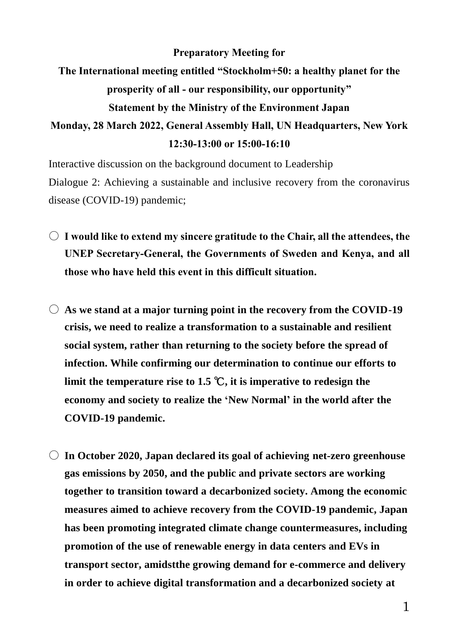## **Preparatory Meeting for**

## **The International meeting entitled "Stockholm+50: a healthy planet for the prosperity of all - our responsibility, our opportunity" Statement by the Ministry of the Environment Japan**

## **Monday, 28 March 2022, General Assembly Hall, UN Headquarters, New York 12:30-13:00 or 15:00-16:10**

Interactive discussion on the background document to Leadership Dialogue 2: Achieving a sustainable and inclusive recovery from the coronavirus disease (COVID-19) pandemic;

- **I would like to extend my sincere gratitude to the Chair, all the attendees, the UNEP Secretary-General, the Governments of Sweden and Kenya, and all those who have held this event in this difficult situation.**
- **As we stand at a major turning point in the recovery from the COVID-19 crisis, we need to realize a transformation to a sustainable and resilient social system, rather than returning to the society before the spread of infection. While confirming our determination to continue our efforts to limit the temperature rise to 1.5** ℃**, it is imperative to redesign the economy and society to realize the 'New Normal' in the world after the COVID-19 pandemic.**
- **In October 2020, Japan declared its goal of achieving net-zero greenhouse gas emissions by 2050, and the public and private sectors are working together to transition toward a decarbonized society. Among the economic measures aimed to achieve recovery from the COVID-19 pandemic, Japan has been promoting integrated climate change countermeasures, including promotion of the use of renewable energy in data centers and EVs in transport sector, amidstthe growing demand for e-commerce and delivery in order to achieve digital transformation and a decarbonized society at**